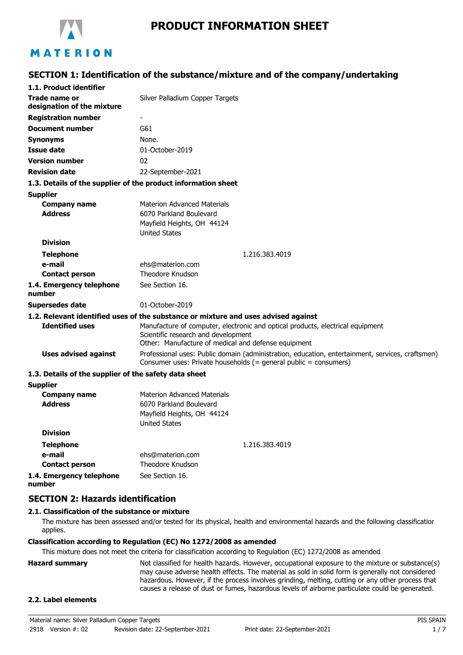

# **PRODUCT INFORMATION SHEET**

# **SECTION 1: Identification of the substance/mixture and of the company/undertaking**

| 1.1. Product identifier                               |                                                                                                                                                                        |
|-------------------------------------------------------|------------------------------------------------------------------------------------------------------------------------------------------------------------------------|
| Trade name or                                         | Silver Palladium Copper Targets                                                                                                                                        |
| designation of the mixture                            |                                                                                                                                                                        |
| <b>Registration number</b>                            |                                                                                                                                                                        |
| <b>Document number</b>                                | G61                                                                                                                                                                    |
| <b>Synonyms</b>                                       | None.                                                                                                                                                                  |
| <b>Issue date</b>                                     | 01-October-2019                                                                                                                                                        |
| <b>Version number</b>                                 | 02                                                                                                                                                                     |
| <b>Revision date</b>                                  | 22-September-2021                                                                                                                                                      |
|                                                       | 1.3. Details of the supplier of the product information sheet                                                                                                          |
| <b>Supplier</b>                                       |                                                                                                                                                                        |
| <b>Company name</b>                                   | <b>Materion Advanced Materials</b>                                                                                                                                     |
| <b>Address</b>                                        | 6070 Parkland Boulevard                                                                                                                                                |
|                                                       | Mayfield Heights, OH 44124                                                                                                                                             |
| <b>Division</b>                                       | <b>United States</b>                                                                                                                                                   |
|                                                       |                                                                                                                                                                        |
| <b>Telephone</b><br>e-mail                            | 1.216.383.4019<br>ehs@materion.com                                                                                                                                     |
| <b>Contact person</b>                                 | <b>Theodore Knudson</b>                                                                                                                                                |
| 1.4. Emergency telephone                              | See Section 16.                                                                                                                                                        |
| number                                                |                                                                                                                                                                        |
| <b>Supersedes date</b>                                | 01-October-2019                                                                                                                                                        |
|                                                       | 1.2. Relevant identified uses of the substance or mixture and uses advised against                                                                                     |
| <b>Identified uses</b>                                | Manufacture of computer, electronic and optical products, electrical equipment                                                                                         |
|                                                       | Scientific research and development                                                                                                                                    |
|                                                       | Other: Manufacture of medical and defense equipment                                                                                                                    |
| <b>Uses advised against</b>                           | Professional uses: Public domain (administration, education, entertainment, services, craftsmen)<br>Consumer uses: Private households $(=$ general public = consumers) |
| 1.3. Details of the supplier of the safety data sheet |                                                                                                                                                                        |
| <b>Supplier</b>                                       |                                                                                                                                                                        |
| <b>Company name</b>                                   | <b>Materion Advanced Materials</b>                                                                                                                                     |
| <b>Address</b>                                        | 6070 Parkland Boulevard                                                                                                                                                |
|                                                       | Mayfield Heights, OH 44124                                                                                                                                             |
| <b>Division</b>                                       | <b>United States</b>                                                                                                                                                   |
|                                                       |                                                                                                                                                                        |
| <b>Telephone</b>                                      | 1.216.383.4019                                                                                                                                                         |
| e-mail                                                | ehs@materion.com<br>Theodore Knudson                                                                                                                                   |
| <b>Contact person</b>                                 |                                                                                                                                                                        |
| 1.4. Emergency telephone<br>number                    | See Section 16.                                                                                                                                                        |

#### **SECTION 2: Hazards identification**

#### **2.1. Classification of the substance or mixture**

The mixture has been assessed and/or tested for its physical, health and environmental hazards and the following classification applies.

#### **Classification according to Regulation (EC) No 1272/2008 as amended**

This mixture does not meet the criteria for classification according to Regulation (EC) 1272/2008 as amended.

**Hazard summary** Not classified for health hazards. However, occupational exposure to the mixture or substance(s) may cause adverse health effects. The material as sold in solid form is generally not considered hazardous. However, if the process involves grinding, melting, cutting or any other process that causes a release of dust or fumes, hazardous levels of airborne particulate could be generated.

#### **2.2. Label elements**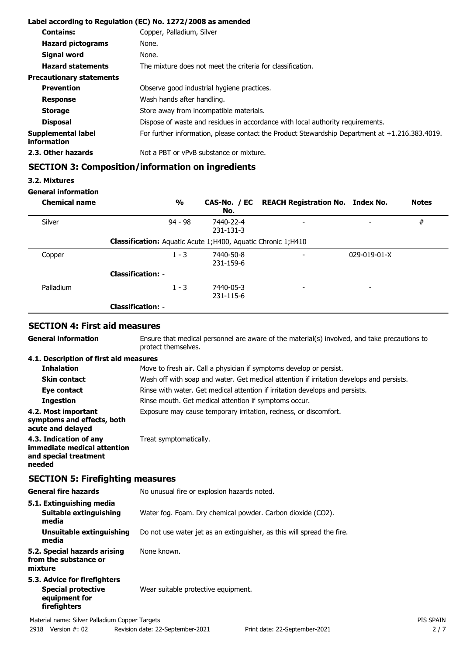|                                   | Label according to Regulation (EC) No. 1272/2008 as amended                                       |
|-----------------------------------|---------------------------------------------------------------------------------------------------|
| <b>Contains:</b>                  | Copper, Palladium, Silver                                                                         |
| <b>Hazard pictograms</b>          | None.                                                                                             |
| Signal word                       | None.                                                                                             |
| <b>Hazard statements</b>          | The mixture does not meet the criteria for classification.                                        |
| <b>Precautionary statements</b>   |                                                                                                   |
| <b>Prevention</b>                 | Observe good industrial hygiene practices.                                                        |
| <b>Response</b>                   | Wash hands after handling.                                                                        |
| <b>Storage</b>                    | Store away from incompatible materials.                                                           |
| <b>Disposal</b>                   | Dispose of waste and residues in accordance with local authority requirements.                    |
| Supplemental label<br>information | For further information, please contact the Product Stewardship Department at $+1.216.383.4019$ . |
| 2.3. Other hazards                | Not a PBT or vPvB substance or mixture.                                                           |

# **SECTION 3: Composition/information on ingredients**

#### **3.2. Mixtures**

### **General information**

| <b>Chemical name</b> |                                                                     | $\frac{1}{2}$ | No.                    | CAS-No. / EC REACH Registration No. Index No. |                          | <b>Notes</b> |
|----------------------|---------------------------------------------------------------------|---------------|------------------------|-----------------------------------------------|--------------------------|--------------|
| Silver               |                                                                     | $94 - 98$     | 7440-22-4<br>231-131-3 | $\overline{\phantom{0}}$                      |                          | #            |
|                      | <b>Classification:</b> Aquatic Acute 1;H400, Aquatic Chronic 1;H410 |               |                        |                                               |                          |              |
| Copper               |                                                                     | $1 - 3$       | 7440-50-8<br>231-159-6 | $\overline{\phantom{0}}$                      | $029 - 019 - 01 - X$     |              |
|                      | <b>Classification: -</b>                                            |               |                        |                                               |                          |              |
| Palladium            |                                                                     | $1 - 3$       | 7440-05-3<br>231-115-6 | $\overline{\phantom{a}}$                      | $\overline{\phantom{0}}$ |              |
|                      | <b>Classification: -</b>                                            |               |                        |                                               |                          |              |

# **SECTION 4: First aid measures**

| <b>General information</b>                                                                 | Ensure that medical personnel are aware of the material(s) involved, and take precautions to<br>protect themselves. |           |
|--------------------------------------------------------------------------------------------|---------------------------------------------------------------------------------------------------------------------|-----------|
| 4.1. Description of first aid measures                                                     |                                                                                                                     |           |
| <b>Inhalation</b>                                                                          | Move to fresh air. Call a physician if symptoms develop or persist.                                                 |           |
| <b>Skin contact</b>                                                                        | Wash off with soap and water. Get medical attention if irritation develops and persists.                            |           |
| Eye contact                                                                                | Rinse with water. Get medical attention if irritation develops and persists.                                        |           |
| <b>Ingestion</b>                                                                           | Rinse mouth. Get medical attention if symptoms occur.                                                               |           |
| 4.2. Most important<br>symptoms and effects, both<br>acute and delayed                     | Exposure may cause temporary irritation, redness, or discomfort.                                                    |           |
| 4.3. Indication of any<br>immediate medical attention<br>and special treatment<br>needed   | Treat symptomatically.                                                                                              |           |
| <b>SECTION 5: Firefighting measures</b>                                                    |                                                                                                                     |           |
| <b>General fire hazards</b>                                                                | No unusual fire or explosion hazards noted.                                                                         |           |
| 5.1. Extinguishing media                                                                   |                                                                                                                     |           |
| <b>Suitable extinguishing</b><br>media                                                     | Water fog. Foam. Dry chemical powder. Carbon dioxide (CO2).                                                         |           |
| <b>Unsuitable extinguishing</b><br>media                                                   | Do not use water jet as an extinguisher, as this will spread the fire.                                              |           |
| 5.2. Special hazards arising<br>from the substance or<br>mixture                           | None known.                                                                                                         |           |
| 5.3. Advice for firefighters<br><b>Special protective</b><br>equipment for<br>firefighters | Wear suitable protective equipment.                                                                                 |           |
| Material name: Silver Palladium Copper Targets                                             |                                                                                                                     | PIS SPAIN |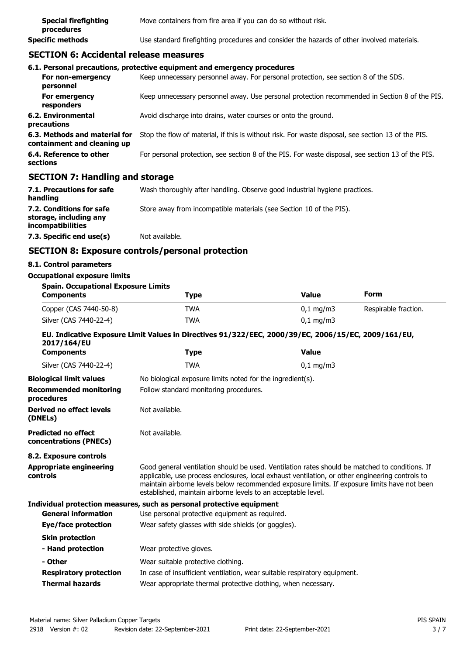| <b>Special firefighting</b><br>procedures | Move containers from fire area if you can do so without risk.                              |
|-------------------------------------------|--------------------------------------------------------------------------------------------|
| Specific methods                          | Use standard firefighting procedures and consider the hazards of other involved materials. |

# **SECTION 6: Accidental release measures**

|                                                              | 6.1. Personal precautions, protective equipment and emergency procedures                           |
|--------------------------------------------------------------|----------------------------------------------------------------------------------------------------|
| For non-emergency<br>personnel                               | Keep unnecessary personnel away. For personal protection, see section 8 of the SDS.                |
| For emergency<br>responders                                  | Keep unnecessary personnel away. Use personal protection recommended in Section 8 of the PIS.      |
| 6.2. Environmental<br>precautions                            | Avoid discharge into drains, water courses or onto the ground.                                     |
| 6.3. Methods and material for<br>containment and cleaning up | Stop the flow of material, if this is without risk. For waste disposal, see section 13 of the PIS. |
| 6.4. Reference to other<br>sections                          | For personal protection, see section 8 of the PIS. For waste disposal, see section 13 of the PIS.  |
|                                                              |                                                                                                    |

#### **SECTION 7: Handling and storage**

| 7.1. Precautions for safe<br>handling                                          | Wash thoroughly after handling. Observe good industrial hygiene practices. |
|--------------------------------------------------------------------------------|----------------------------------------------------------------------------|
| 7.2. Conditions for safe<br>storage, including any<br><i>incompatibilities</i> | Store away from incompatible materials (see Section 10 of the PIS).        |
| 7.3. Specific end use(s)                                                       | Not available.                                                             |

# **SECTION 8: Exposure controls/personal protection**

#### **8.1. Control parameters**

# **Occupational exposure limits**

| <b>Spain. Occupational Exposure Limits</b> |            |                         |                      |
|--------------------------------------------|------------|-------------------------|----------------------|
| <b>Components</b>                          | Type       | Value                   | Form                 |
| Copper (CAS 7440-50-8)                     | <b>TWA</b> | $0.1 \,\mathrm{mq/m}$ 3 | Respirable fraction. |
| Silver (CAS 7440-22-4)                     | <b>TWA</b> | $0.1 \,\mathrm{mq/m}$ 3 |                      |

#### **EU. Indicative Exposure Limit Values in Directives 91/322/EEC, 2000/39/EC, 2006/15/EC, 2009/161/EU, 2017/164/EU**

| <b>Type</b>                                                                                                                                                                                                                                                                                                                                                        | <b>Value</b>                                                          |
|--------------------------------------------------------------------------------------------------------------------------------------------------------------------------------------------------------------------------------------------------------------------------------------------------------------------------------------------------------------------|-----------------------------------------------------------------------|
| <b>TWA</b>                                                                                                                                                                                                                                                                                                                                                         | $0,1$ mg/m3                                                           |
| No biological exposure limits noted for the ingredient(s).                                                                                                                                                                                                                                                                                                         |                                                                       |
| Follow standard monitoring procedures.                                                                                                                                                                                                                                                                                                                             |                                                                       |
| Not available.                                                                                                                                                                                                                                                                                                                                                     |                                                                       |
| Not available.                                                                                                                                                                                                                                                                                                                                                     |                                                                       |
|                                                                                                                                                                                                                                                                                                                                                                    |                                                                       |
| Good general ventilation should be used. Ventilation rates should be matched to conditions. If<br>applicable, use process enclosures, local exhaust ventilation, or other engineering controls to<br>maintain airborne levels below recommended exposure limits. If exposure limits have not been<br>established, maintain airborne levels to an acceptable level. |                                                                       |
|                                                                                                                                                                                                                                                                                                                                                                    |                                                                       |
| Use personal protective equipment as required.                                                                                                                                                                                                                                                                                                                     |                                                                       |
| Wear safety glasses with side shields (or goggles).                                                                                                                                                                                                                                                                                                                |                                                                       |
|                                                                                                                                                                                                                                                                                                                                                                    |                                                                       |
| Wear protective gloves.                                                                                                                                                                                                                                                                                                                                            |                                                                       |
| Wear suitable protective clothing.                                                                                                                                                                                                                                                                                                                                 |                                                                       |
| In case of insufficient ventilation, wear suitable respiratory equipment.                                                                                                                                                                                                                                                                                          |                                                                       |
| Wear appropriate thermal protective clothing, when necessary.                                                                                                                                                                                                                                                                                                      |                                                                       |
|                                                                                                                                                                                                                                                                                                                                                                    | Individual protection measures, such as personal protective equipment |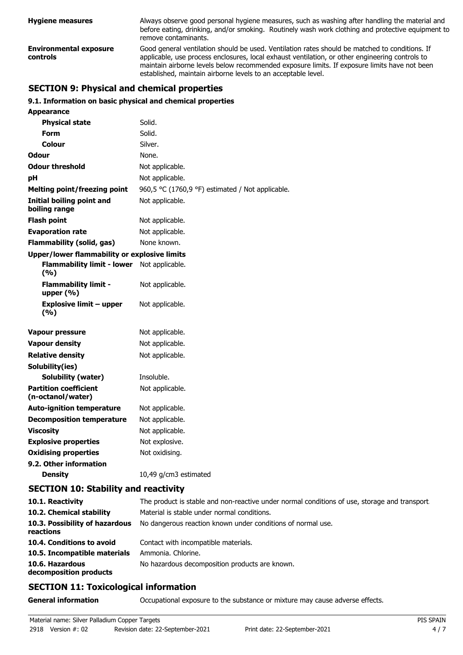| <b>Hygiene measures</b>                   | Always observe good personal hygiene measures, such as washing after handling the material and<br>before eating, drinking, and/or smoking. Routinely wash work clothing and protective equipment to<br>remove contaminants.                                                                                                                                        |
|-------------------------------------------|--------------------------------------------------------------------------------------------------------------------------------------------------------------------------------------------------------------------------------------------------------------------------------------------------------------------------------------------------------------------|
| <b>Environmental exposure</b><br>controls | Good general ventilation should be used. Ventilation rates should be matched to conditions. If<br>applicable, use process enclosures, local exhaust ventilation, or other engineering controls to<br>maintain airborne levels below recommended exposure limits. If exposure limits have not been<br>established, maintain airborne levels to an acceptable level. |

# **SECTION 9: Physical and chemical properties**

#### **9.1. Information on basic physical and chemical properties**

| <b>Appearance</b>                                   |                                                  |  |  |
|-----------------------------------------------------|--------------------------------------------------|--|--|
| <b>Physical state</b>                               | Solid.                                           |  |  |
| <b>Form</b>                                         | Solid.                                           |  |  |
| Colour                                              | Silver.                                          |  |  |
| Odour                                               | None.                                            |  |  |
| <b>Odour threshold</b>                              | Not applicable.                                  |  |  |
| рH                                                  | Not applicable.                                  |  |  |
| <b>Melting point/freezing point</b>                 | 960,5 °C (1760,9 °F) estimated / Not applicable. |  |  |
| <b>Initial boiling point and</b><br>boiling range   | Not applicable.                                  |  |  |
| <b>Flash point</b>                                  | Not applicable.                                  |  |  |
| <b>Evaporation rate</b>                             | Not applicable.                                  |  |  |
| <b>Flammability (solid, gas)</b>                    | None known.                                      |  |  |
| <b>Upper/lower flammability or explosive limits</b> |                                                  |  |  |
| <b>Flammability limit - lower</b><br>(9/6)          | Not applicable.                                  |  |  |
| <b>Flammability limit -</b><br>upper (%)            | Not applicable.                                  |  |  |
| <b>Explosive limit - upper</b><br>(%)               | Not applicable.                                  |  |  |
| <b>Vapour pressure</b>                              | Not applicable.                                  |  |  |
| <b>Vapour density</b>                               | Not applicable.                                  |  |  |
| <b>Relative density</b>                             | Not applicable.                                  |  |  |
| Solubility(ies)                                     |                                                  |  |  |
| <b>Solubility (water)</b>                           | Insoluble.                                       |  |  |
| <b>Partition coefficient</b><br>(n-octanol/water)   | Not applicable.                                  |  |  |
| <b>Auto-ignition temperature</b>                    | Not applicable.                                  |  |  |
| <b>Decomposition temperature</b>                    | Not applicable.                                  |  |  |
| <b>Viscosity</b>                                    | Not applicable.                                  |  |  |
| <b>Explosive properties</b>                         | Not explosive.                                   |  |  |
| <b>Oxidising properties</b>                         | Not oxidising.                                   |  |  |
| 9.2. Other information                              |                                                  |  |  |
| <b>Density</b>                                      | 10,49 g/cm3 estimated                            |  |  |

#### **SECTION 10: Stability and reactivity**

| 10.1. Reactivity<br>10.2. Chemical stability | The product is stable and non-reactive under normal conditions of use, storage and transport<br>Material is stable under normal conditions. |
|----------------------------------------------|---------------------------------------------------------------------------------------------------------------------------------------------|
| 10.3. Possibility of hazardous<br>reactions  | No dangerous reaction known under conditions of normal use.                                                                                 |
| 10.4. Conditions to avoid                    | Contact with incompatible materials.                                                                                                        |
| 10.5. Incompatible materials                 | Ammonia, Chlorine.                                                                                                                          |
| 10.6. Hazardous<br>decomposition products    | No hazardous decomposition products are known.                                                                                              |

#### **SECTION 11: Toxicological information**

**General information CCCUPATION** Occupational exposure to the substance or mixture may cause adverse effects.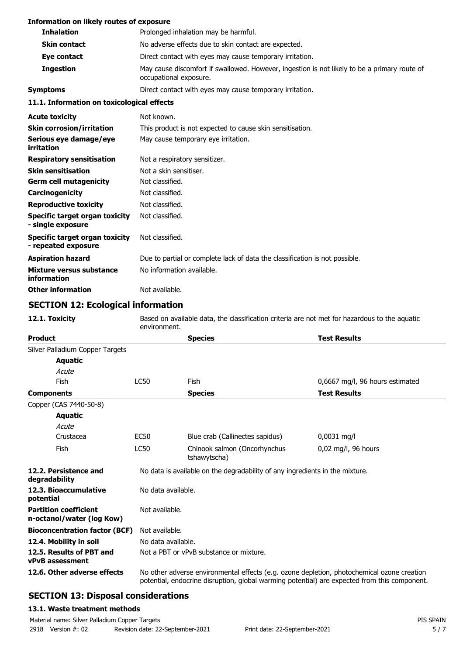| <b>Information on likely routes of exposure</b>       |                                                                                                                        |
|-------------------------------------------------------|------------------------------------------------------------------------------------------------------------------------|
| <b>Inhalation</b>                                     | Prolonged inhalation may be harmful.                                                                                   |
| <b>Skin contact</b>                                   | No adverse effects due to skin contact are expected.                                                                   |
| Eye contact                                           | Direct contact with eyes may cause temporary irritation.                                                               |
| <b>Ingestion</b>                                      | May cause discomfort if swallowed. However, ingestion is not likely to be a primary route of<br>occupational exposure. |
| <b>Symptoms</b>                                       | Direct contact with eyes may cause temporary irritation.                                                               |
| 11.1. Information on toxicological effects            |                                                                                                                        |
| <b>Acute toxicity</b>                                 | Not known.                                                                                                             |
| <b>Skin corrosion/irritation</b>                      | This product is not expected to cause skin sensitisation.                                                              |
| Serious eye damage/eye<br>irritation                  | May cause temporary eye irritation.                                                                                    |
| <b>Respiratory sensitisation</b>                      | Not a respiratory sensitizer.                                                                                          |
| <b>Skin sensitisation</b>                             | Not a skin sensitiser.                                                                                                 |
| <b>Germ cell mutagenicity</b>                         | Not classified.                                                                                                        |
| Carcinogenicity                                       | Not classified.                                                                                                        |
| <b>Reproductive toxicity</b>                          | Not classified.                                                                                                        |
| Specific target organ toxicity<br>- single exposure   | Not classified.                                                                                                        |
| Specific target organ toxicity<br>- repeated exposure | Not classified.                                                                                                        |
| <b>Aspiration hazard</b>                              | Due to partial or complete lack of data the classification is not possible.                                            |
| Mixture versus substance<br>information               | No information available.                                                                                              |
| <b>Other information</b>                              | Not available.                                                                                                         |

# **SECTION 12: Ecological information**

| 12.1. Toxicity                                            | environment.   | Based on available data, the classification criteria are not met for hazardous to the aguatic                                                                                              |                                 |  |
|-----------------------------------------------------------|----------------|--------------------------------------------------------------------------------------------------------------------------------------------------------------------------------------------|---------------------------------|--|
| <b>Product</b>                                            |                | <b>Species</b>                                                                                                                                                                             | <b>Test Results</b>             |  |
| Silver Palladium Copper Targets                           |                |                                                                                                                                                                                            |                                 |  |
| <b>Aquatic</b>                                            |                |                                                                                                                                                                                            |                                 |  |
| Acute                                                     |                |                                                                                                                                                                                            |                                 |  |
| Fish                                                      | <b>LC50</b>    | <b>Fish</b>                                                                                                                                                                                | 0,6667 mg/l, 96 hours estimated |  |
| <b>Components</b>                                         |                | <b>Species</b>                                                                                                                                                                             | <b>Test Results</b>             |  |
| Copper (CAS 7440-50-8)                                    |                |                                                                                                                                                                                            |                                 |  |
| <b>Aquatic</b>                                            |                |                                                                                                                                                                                            |                                 |  |
| Acute                                                     |                |                                                                                                                                                                                            |                                 |  |
| Crustacea                                                 | <b>EC50</b>    | Blue crab (Callinectes sapidus)                                                                                                                                                            | 0,0031 mg/l                     |  |
| Fish                                                      | <b>LC50</b>    | Chinook salmon (Oncorhynchus<br>tshawytscha)                                                                                                                                               | 0,02 mg/l, 96 hours             |  |
| 12.2. Persistence and<br>degradability                    |                | No data is available on the degradability of any ingredients in the mixture.                                                                                                               |                                 |  |
| 12.3. Bioaccumulative<br>potential                        |                | No data available.                                                                                                                                                                         |                                 |  |
| <b>Partition coefficient</b><br>n-octanol/water (log Kow) | Not available. |                                                                                                                                                                                            |                                 |  |
| <b>Bioconcentration factor (BCF)</b>                      | Not available. |                                                                                                                                                                                            |                                 |  |
| 12.4. Mobility in soil                                    |                | No data available.                                                                                                                                                                         |                                 |  |
| 12.5. Results of PBT and<br><b>vPvB</b> assessment        |                | Not a PBT or vPvB substance or mixture.                                                                                                                                                    |                                 |  |
| 12.6. Other adverse effects                               |                | No other adverse environmental effects (e.g. ozone depletion, photochemical ozone creation<br>potential, endocrine disruption, global warming potential) are expected from this component. |                                 |  |

# **SECTION 13: Disposal considerations**

#### **13.1. Waste treatment methods**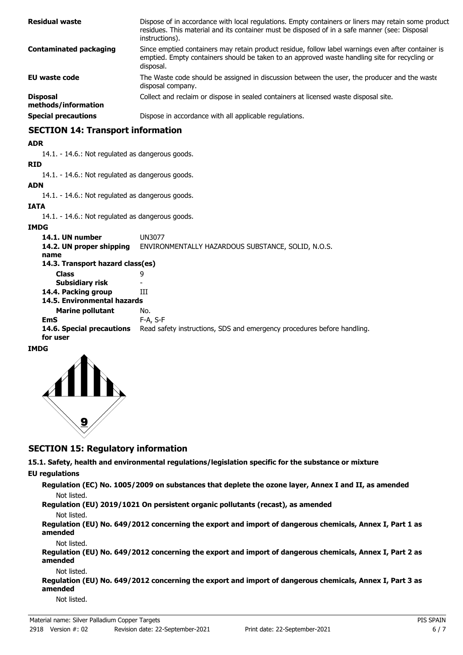| <b>Residual waste</b>                  | Dispose of in accordance with local regulations. Empty containers or liners may retain some product<br>residues. This material and its container must be disposed of in a safe manner (see: Disposal<br>instructions). |
|----------------------------------------|------------------------------------------------------------------------------------------------------------------------------------------------------------------------------------------------------------------------|
| <b>Contaminated packaging</b>          | Since emptied containers may retain product residue, follow label warnings even after container is<br>emptied. Empty containers should be taken to an approved waste handling site for recycling or<br>disposal.       |
| <b>EU waste code</b>                   | The Waste code should be assigned in discussion between the user, the producer and the waste<br>disposal company.                                                                                                      |
| <b>Disposal</b><br>methods/information | Collect and reclaim or dispose in sealed containers at licensed waste disposal site.                                                                                                                                   |
| <b>Special precautions</b>             | Dispose in accordance with all applicable regulations.                                                                                                                                                                 |

# **SECTION 14: Transport information**

#### **ADR**

14.1. - 14.6.: Not regulated as dangerous goods.

#### **RID**

14.1. - 14.6.: Not regulated as dangerous goods.

# **ADN**

14.1. - 14.6.: Not regulated as dangerous goods.

#### **IATA**

14.1. - 14.6.: Not regulated as dangerous goods.

#### **IMDG**

| 14.1. UN number                       | UN3077                                                                  |
|---------------------------------------|-------------------------------------------------------------------------|
| 14.2. UN proper shipping              | ENVIRONMENTALLY HAZARDOUS SUBSTANCE, SOLID, N.O.S.                      |
| name                                  |                                                                         |
| 14.3. Transport hazard class(es)      |                                                                         |
| <b>Class</b>                          | 9                                                                       |
| Subsidiary risk                       |                                                                         |
| 14.4. Packing group                   | Ш                                                                       |
| 14.5. Environmental hazards           |                                                                         |
| <b>Marine pollutant</b>               | No.                                                                     |
| <b>EmS</b>                            | F-A, S-F                                                                |
| 14.6. Special precautions<br>for user | Read safety instructions, SDS and emergency procedures before handling. |
|                                       |                                                                         |

#### **IMDG**



#### **SECTION 15: Regulatory information**

**15.1. Safety, health and environmental regulations/legislation specific for the substance or mixture**

### **EU regulations**

**Regulation (EC) No. 1005/2009 on substances that deplete the ozone layer, Annex I and II, as amended** Not listed.

**Regulation (EU) 2019/1021 On persistent organic pollutants (recast), as amended**

#### Not listed.

**Regulation (EU) No. 649/2012 concerning the export and import of dangerous chemicals, Annex I, Part 1 as amended**

#### Not listed.

**Regulation (EU) No. 649/2012 concerning the export and import of dangerous chemicals, Annex I, Part 2 as amended**

#### Not listed.

**Regulation (EU) No. 649/2012 concerning the export and import of dangerous chemicals, Annex I, Part 3 as amended**

Not listed.